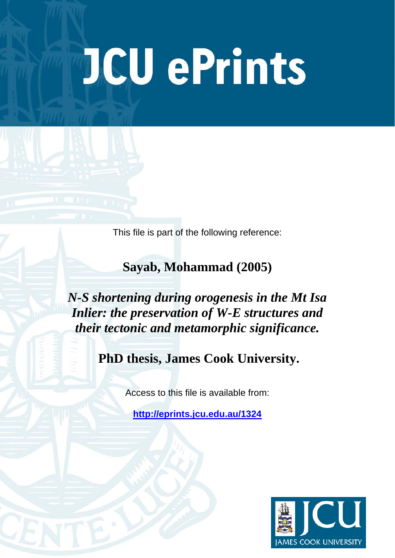# **JCU ePrints**

This file is part of the following reference:

**Sayab, Mohammad (2005)** 

*N-S shortening during orogenesis in the Mt Isa Inlier: the preservation of W-E structures and their tectonic and metamorphic significance.* 

 **PhD thesis, James Cook University.**

Access to this file is available from:

**<http://eprints.jcu.edu.au/1324>**

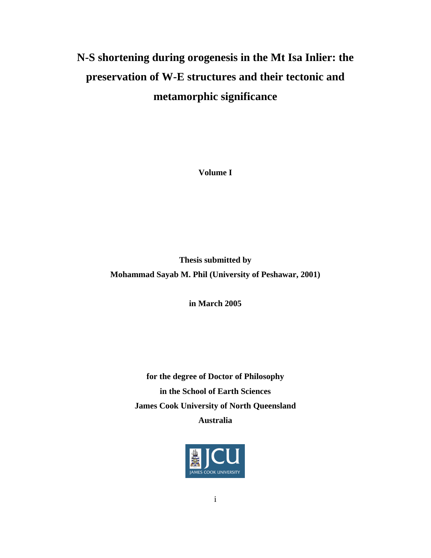# **N-S shortening during orogenesis in the Mt Isa Inlier: the preservation of W-E structures and their tectonic and metamorphic significance**

**Volume I** 

**Thesis submitted by Mohammad Sayab M. Phil (University of Peshawar, 2001)** 

**in March 2005** 

**for the degree of Doctor of Philosophy in the School of Earth Sciences James Cook University of North Queensland Australia** 

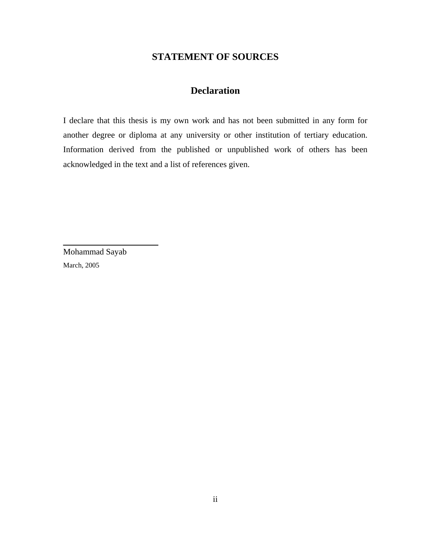# **STATEMENT OF SOURCES**

# **Declaration**

I declare that this thesis is my own work and has not been submitted in any form for another degree or diploma at any university or other institution of tertiary education. Information derived from the published or unpublished work of others has been acknowledged in the text and a list of references given.

Mohammad Sayab March, 2005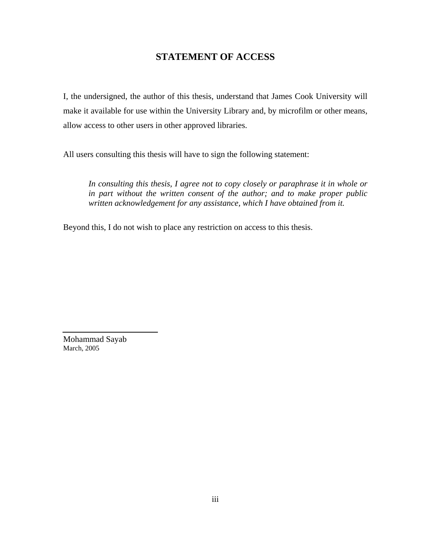#### **STATEMENT OF ACCESS**

I, the undersigned, the author of this thesis, understand that James Cook University will make it available for use within the University Library and, by microfilm or other means, allow access to other users in other approved libraries.

All users consulting this thesis will have to sign the following statement:

*In consulting this thesis, I agree not to copy closely or paraphrase it in whole or in part without the written consent of the author; and to make proper public written acknowledgement for any assistance, which I have obtained from it.* 

Beyond this, I do not wish to place any restriction on access to this thesis.

Mohammad Sayab March, 2005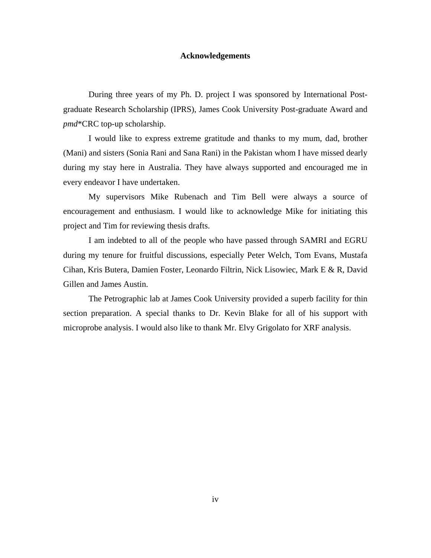#### **Acknowledgements**

During three years of my Ph. D. project I was sponsored by International Postgraduate Research Scholarship (IPRS), James Cook University Post-graduate Award and *pmd*\*CRC top-up scholarship.

I would like to express extreme gratitude and thanks to my mum, dad, brother (Mani) and sisters (Sonia Rani and Sana Rani) in the Pakistan whom I have missed dearly during my stay here in Australia. They have always supported and encouraged me in every endeavor I have undertaken.

My supervisors Mike Rubenach and Tim Bell were always a source of encouragement and enthusiasm. I would like to acknowledge Mike for initiating this project and Tim for reviewing thesis drafts.

 I am indebted to all of the people who have passed through SAMRI and EGRU during my tenure for fruitful discussions, especially Peter Welch, Tom Evans, Mustafa Cihan, Kris Butera, Damien Foster, Leonardo Filtrin, Nick Lisowiec, Mark E & R, David Gillen and James Austin.

The Petrographic lab at James Cook University provided a superb facility for thin section preparation. A special thanks to Dr. Kevin Blake for all of his support with microprobe analysis. I would also like to thank Mr. Elvy Grigolato for XRF analysis.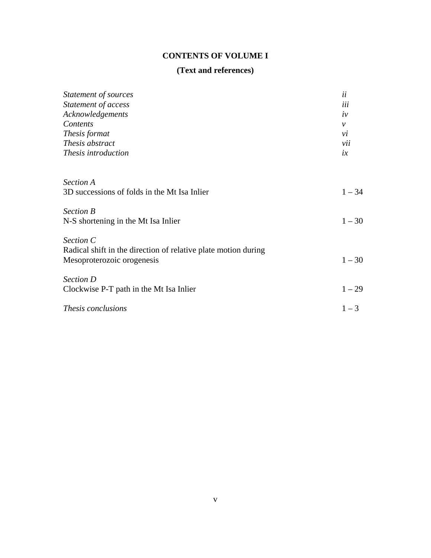# **CONTENTS OF VOLUME I**

#### **(Text and references)**

| Statement of sources<br>Statement of access                    | ii<br>iii    |
|----------------------------------------------------------------|--------------|
|                                                                |              |
| Contents                                                       | $\mathcal V$ |
| Thesis format                                                  | vi           |
| Thesis abstract                                                | vii          |
| Thesis introduction                                            | ix           |
| <b>Section A</b>                                               |              |
| 3D successions of folds in the Mt Isa Inlier                   | $1 - 34$     |
| <b>Section B</b>                                               |              |
| N-S shortening in the Mt Isa Inlier                            | $1 - 30$     |
| Section C                                                      |              |
| Radical shift in the direction of relative plate motion during |              |
| Mesoproterozoic orogenesis                                     | $1 - 30$     |
| Section D                                                      |              |
| Clockwise P-T path in the Mt Isa Inlier                        | $1 - 29$     |
| Thesis conclusions                                             | $1 - 3$      |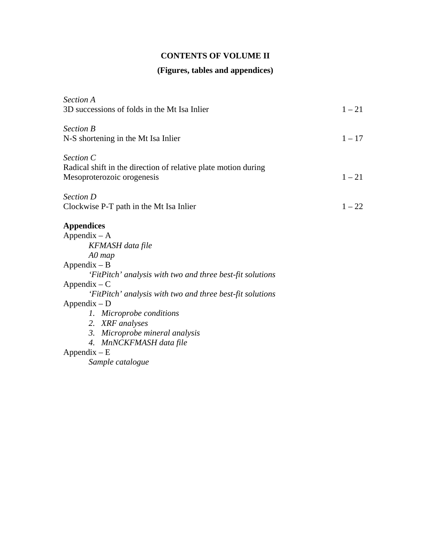## **CONTENTS OF VOLUME II**

### **(Figures, tables and appendices)**

| <i>Section A</i>                                               |          |
|----------------------------------------------------------------|----------|
| 3D successions of folds in the Mt Isa Inlier                   | $1 - 21$ |
| <b>Section B</b>                                               |          |
| N-S shortening in the Mt Isa Inlier                            | $1 - 17$ |
| Section C                                                      |          |
| Radical shift in the direction of relative plate motion during |          |
| Mesoproterozoic orogenesis                                     | $1 - 21$ |
| <b>Section D</b>                                               |          |
| Clockwise P-T path in the Mt Isa Inlier                        | $1 - 22$ |
| <b>Appendices</b>                                              |          |
| $Appendix - A$                                                 |          |
| KFMASH data file                                               |          |
| $A0$ map                                                       |          |
| $Appendix - B$                                                 |          |
| 'FitPitch' analysis with two and three best-fit solutions      |          |
| $Appendix - C$                                                 |          |
| 'FitPitch' analysis with two and three best-fit solutions      |          |
| $Appendix - D$                                                 |          |
| 1. Microprobe conditions                                       |          |
| 2. XRF analyses                                                |          |
| 3. Microprobe mineral analysis                                 |          |
| 4. MnNCKFMASH data file                                        |          |
| $Appendix - E$                                                 |          |
| Sample catalogue                                               |          |
|                                                                |          |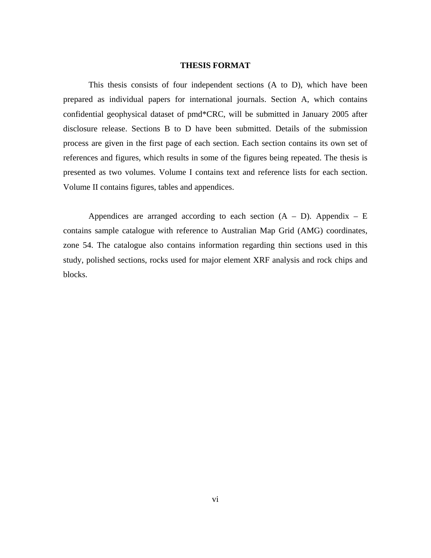#### **THESIS FORMAT**

 This thesis consists of four independent sections (A to D), which have been prepared as individual papers for international journals. Section A, which contains confidential geophysical dataset of pmd\*CRC, will be submitted in January 2005 after disclosure release. Sections B to D have been submitted. Details of the submission process are given in the first page of each section. Each section contains its own set of references and figures, which results in some of the figures being repeated. The thesis is presented as two volumes. Volume I contains text and reference lists for each section. Volume II contains figures, tables and appendices.

Appendices are arranged according to each section  $(A - D)$ . Appendix – E contains sample catalogue with reference to Australian Map Grid (AMG) coordinates, zone 54. The catalogue also contains information regarding thin sections used in this study, polished sections, rocks used for major element XRF analysis and rock chips and blocks.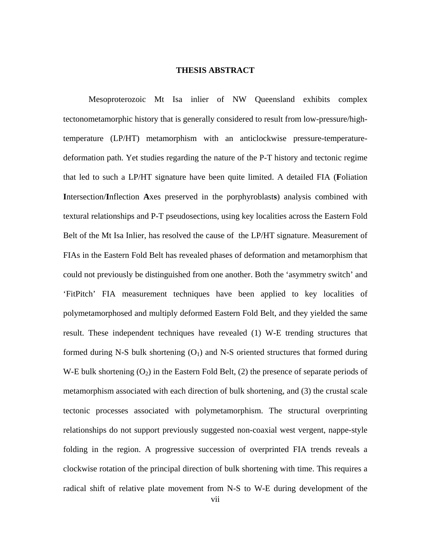#### **THESIS ABSTRACT**

 Mesoproterozoic Mt Isa inlier of NW Queensland exhibits complex tectonometamorphic history that is generally considered to result from low-pressure/hightemperature (LP/HT) metamorphism with an anticlockwise pressure-temperaturedeformation path. Yet studies regarding the nature of the P-T history and tectonic regime that led to such a LP/HT signature have been quite limited. A detailed FIA (**F**oliation **I**ntersection/**I**nflection **A**xes preserved in the porphyroblast**s**) analysis combined with textural relationships and P-T pseudosections, using key localities across the Eastern Fold Belt of the Mt Isa Inlier, has resolved the cause of the LP/HT signature. Measurement of FIAs in the Eastern Fold Belt has revealed phases of deformation and metamorphism that could not previously be distinguished from one another. Both the 'asymmetry switch' and 'FitPitch' FIA measurement techniques have been applied to key localities of polymetamorphosed and multiply deformed Eastern Fold Belt, and they yielded the same result. These independent techniques have revealed (1) W-E trending structures that formed during N-S bulk shortening  $(O_1)$  and N-S oriented structures that formed during W-E bulk shortening  $(O_2)$  in the Eastern Fold Belt,  $(2)$  the presence of separate periods of metamorphism associated with each direction of bulk shortening, and (3) the crustal scale tectonic processes associated with polymetamorphism. The structural overprinting relationships do not support previously suggested non-coaxial west vergent, nappe-style folding in the region. A progressive succession of overprinted FIA trends reveals a clockwise rotation of the principal direction of bulk shortening with time. This requires a radical shift of relative plate movement from N-S to W-E during development of the